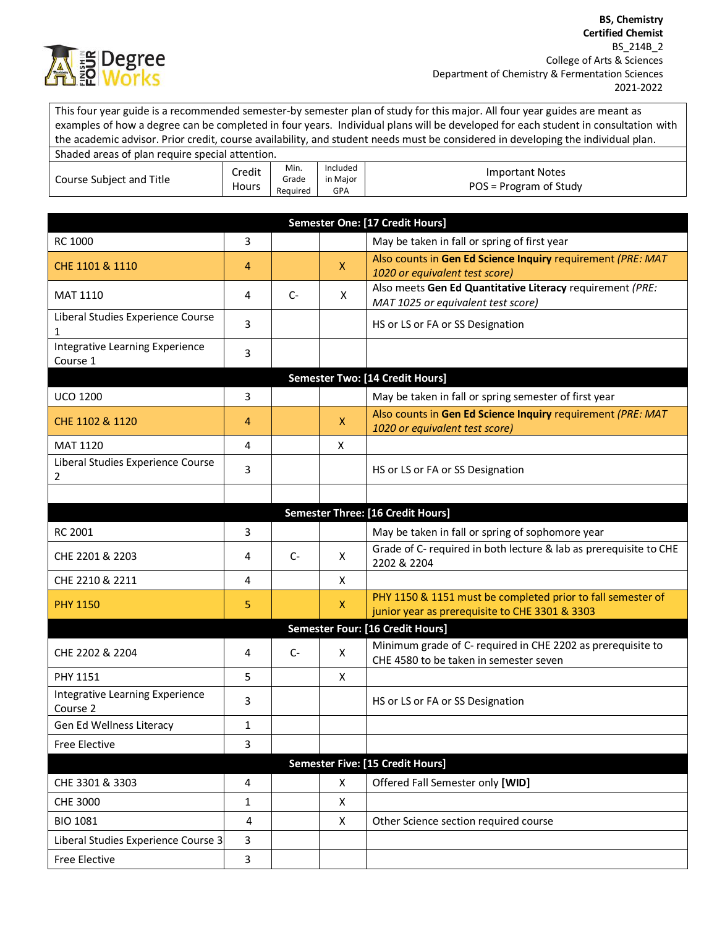

This four year guide is a recommended semester-by semester plan of study for this major. All four year guides are meant as examples of how a degree can be completed in four years. Individual plans will be developed for each student in consultation with the academic advisor. Prior credit, course availability, and student needs must be considered in developing the individual plan.

| Shaded areas of plan require special attention. |                 |                           |                             |                                                  |
|-------------------------------------------------|-----------------|---------------------------|-----------------------------|--------------------------------------------------|
| Course Subject and Title                        | Credit<br>Hours | Min.<br>Grade<br>Reauired | Included<br>in Maior<br>GPA | <b>Important Notes</b><br>POS = Program of Study |

| Semester One: [17 Credit Hours]             |                         |      |              |                                                                                                               |  |
|---------------------------------------------|-------------------------|------|--------------|---------------------------------------------------------------------------------------------------------------|--|
| RC 1000                                     | 3                       |      |              | May be taken in fall or spring of first year                                                                  |  |
| CHE 1101 & 1110                             | 4                       |      | $\mathsf{X}$ | Also counts in Gen Ed Science Inquiry requirement (PRE: MAT<br>1020 or equivalent test score)                 |  |
| <b>MAT 1110</b>                             | 4                       | $C-$ | X            | Also meets Gen Ed Quantitative Literacy requirement (PRE:<br>MAT 1025 or equivalent test score)               |  |
| Liberal Studies Experience Course<br>1      | 3                       |      |              | HS or LS or FA or SS Designation                                                                              |  |
| Integrative Learning Experience<br>Course 1 | 3                       |      |              |                                                                                                               |  |
|                                             |                         |      |              | <b>Semester Two: [14 Credit Hours]</b>                                                                        |  |
| <b>UCO 1200</b>                             | 3                       |      |              | May be taken in fall or spring semester of first year                                                         |  |
| CHE 1102 & 1120                             | 4                       |      | $\mathsf{X}$ | Also counts in Gen Ed Science Inquiry requirement (PRE: MAT<br>1020 or equivalent test score)                 |  |
| <b>MAT 1120</b>                             | 4                       |      | X            |                                                                                                               |  |
| Liberal Studies Experience Course<br>2      | 3                       |      |              | HS or LS or FA or SS Designation                                                                              |  |
|                                             |                         |      |              |                                                                                                               |  |
|                                             |                         |      |              | Semester Three: [16 Credit Hours]                                                                             |  |
| RC 2001                                     | 3                       |      |              | May be taken in fall or spring of sophomore year                                                              |  |
| CHE 2201 & 2203                             | 4                       | $C-$ | X            | Grade of C- required in both lecture & lab as prerequisite to CHE<br>2202 & 2204                              |  |
| CHE 2210 & 2211                             | 4                       |      | X            |                                                                                                               |  |
| <b>PHY 1150</b>                             | 5                       |      | $\mathsf{X}$ | PHY 1150 & 1151 must be completed prior to fall semester of<br>junior year as prerequisite to CHE 3301 & 3303 |  |
| Semester Four: [16 Credit Hours]            |                         |      |              |                                                                                                               |  |
| CHE 2202 & 2204                             | 4                       | $C-$ | X            | Minimum grade of C- required in CHE 2202 as prerequisite to<br>CHE 4580 to be taken in semester seven         |  |
| <b>PHY 1151</b>                             | 5                       |      | X            |                                                                                                               |  |
| Integrative Learning Experience<br>Course 2 | 3                       |      |              | HS or LS or FA or SS Designation                                                                              |  |
| Gen Ed Wellness Literacy                    | $\mathbf{1}$            |      |              |                                                                                                               |  |
| <b>Free Elective</b>                        | 3                       |      |              |                                                                                                               |  |
| <b>Semester Five: [15 Credit Hours]</b>     |                         |      |              |                                                                                                               |  |
| CHE 3301 & 3303                             | 4                       |      | $\mathsf{X}$ | Offered Fall Semester only [WID]                                                                              |  |
| CHE 3000                                    | $\mathbf{1}$            |      | X            |                                                                                                               |  |
| <b>BIO 1081</b>                             | $\overline{\mathbf{4}}$ |      | $\mathsf{X}$ | Other Science section required course                                                                         |  |
| Liberal Studies Experience Course 3         | 3                       |      |              |                                                                                                               |  |
| <b>Free Elective</b>                        | 3                       |      |              |                                                                                                               |  |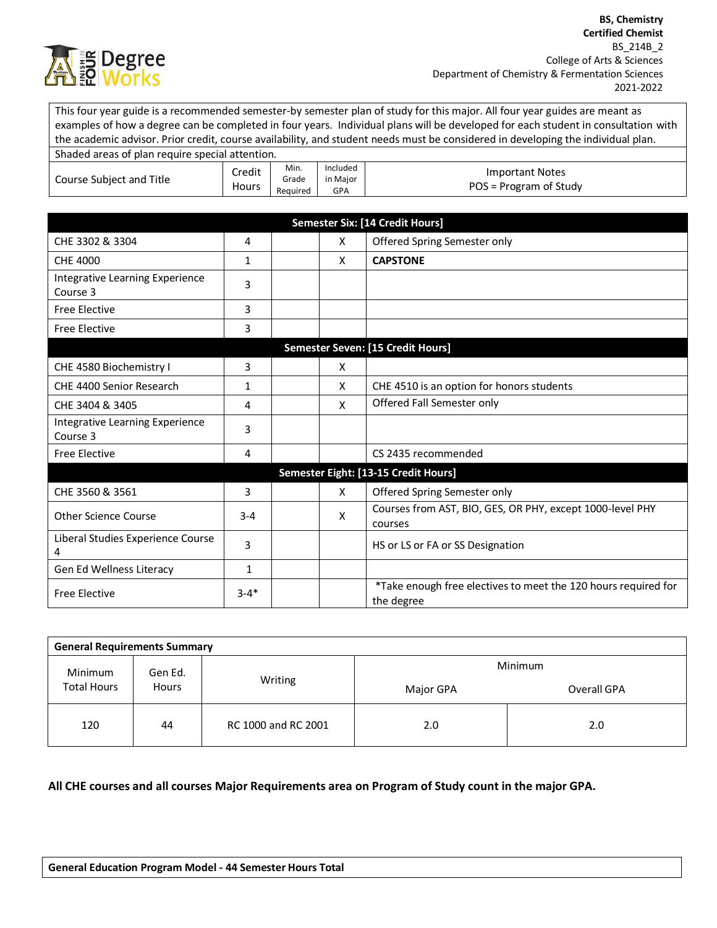

This four year guide is a recommended semester-by semester plan of study for this major. All four year guides are meant as examples of how a degree can be completed in four years. Individual plans will be developed for each student in consultation with the academic advisor. Prior credit, course availability, and student needs must be considered in developing the individual plan.

| Shaded areas of plan require special attention. |                 |                           |                             |                                                  |
|-------------------------------------------------|-----------------|---------------------------|-----------------------------|--------------------------------------------------|
| Course Subject and Title                        | Credit<br>Hours | Min.<br>Grade<br>Required | Included<br>in Maior<br>GPA | <b>Important Notes</b><br>POS = Program of Study |

| <b>Semester Six: [14 Credit Hours]</b>      |              |  |   |                                                                              |  |  |
|---------------------------------------------|--------------|--|---|------------------------------------------------------------------------------|--|--|
| CHE 3302 & 3304                             | 4            |  | X | Offered Spring Semester only                                                 |  |  |
| <b>CHE 4000</b>                             | $\mathbf{1}$ |  | X | <b>CAPSTONE</b>                                                              |  |  |
| Integrative Learning Experience<br>Course 3 | 3            |  |   |                                                                              |  |  |
| <b>Free Elective</b>                        | 3            |  |   |                                                                              |  |  |
| <b>Free Elective</b>                        | 3            |  |   |                                                                              |  |  |
| Semester Seven: [15 Credit Hours]           |              |  |   |                                                                              |  |  |
| CHE 4580 Biochemistry I                     | 3            |  | X |                                                                              |  |  |
| CHE 4400 Senior Research                    | $\mathbf{1}$ |  | X | CHE 4510 is an option for honors students                                    |  |  |
| CHE 3404 & 3405                             | 4            |  | X | Offered Fall Semester only                                                   |  |  |
| Integrative Learning Experience<br>Course 3 | 3            |  |   |                                                                              |  |  |
| <b>Free Elective</b>                        | 4            |  |   | CS 2435 recommended                                                          |  |  |
| Semester Eight: [13-15 Credit Hours]        |              |  |   |                                                                              |  |  |
| CHE 3560 & 3561                             | 3            |  | X | Offered Spring Semester only                                                 |  |  |
| Other Science Course                        | $3 - 4$      |  | X | Courses from AST, BIO, GES, OR PHY, except 1000-level PHY<br>courses         |  |  |
| Liberal Studies Experience Course<br>4      | 3            |  |   | HS or LS or FA or SS Designation                                             |  |  |
| Gen Ed Wellness Literacy                    | 1            |  |   |                                                                              |  |  |
| <b>Free Elective</b>                        | $3 - 4*$     |  |   | *Take enough free electives to meet the 120 hours required for<br>the degree |  |  |

| <b>General Requirements Summary</b>               |    |                     |                |             |  |  |
|---------------------------------------------------|----|---------------------|----------------|-------------|--|--|
| Minimum<br>Gen Ed.<br><b>Total Hours</b><br>Hours |    |                     | <b>Minimum</b> |             |  |  |
|                                                   |    | Writing             | Major GPA      | Overall GPA |  |  |
| 120                                               | 44 | RC 1000 and RC 2001 | 2.0            | 2.0         |  |  |

## **All CHE courses and all courses Major Requirements area on Program of Study count in the major GPA.**